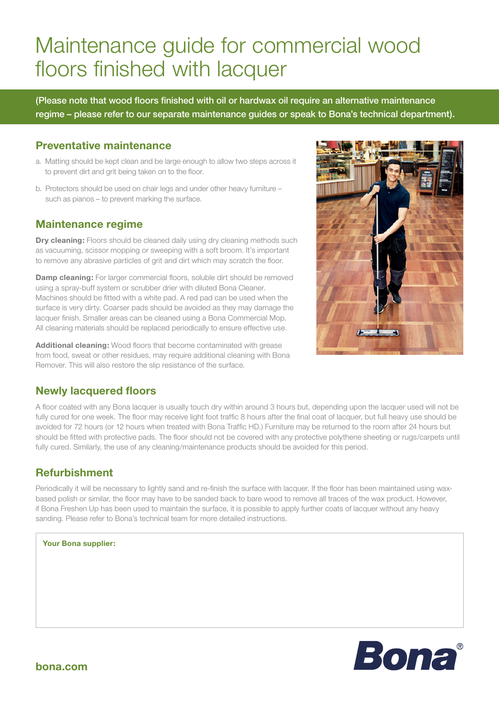# Maintenance guide for commercial wood floors finished with lacquer

(Please note that wood floors finished with oil or hardwax oil require an alternative maintenance regime – please refer to our separate maintenance guides or speak to Bona's technical department).

## **Preventative maintenance**

- a. Matting should be kept clean and be large enough to allow two steps across it to prevent dirt and grit being taken on to the floor.
- b. Protectors should be used on chair legs and under other heavy furniture such as pianos – to prevent marking the surface.

### **Maintenance regime**

**Dry cleaning:** Floors should be cleaned daily using dry cleaning methods such as vacuuming, scissor mopping or sweeping with a soft broom. It's important to remove any abrasive particles of grit and dirt which may scratch the floor.

**Damp cleaning:** For larger commercial floors, soluble dirt should be removed using a spray-buff system or scrubber drier with diluted Bona Cleaner. Machines should be fitted with a white pad. A red pad can be used when the surface is very dirty. Coarser pads should be avoided as they may damage the lacquer finish. Smaller areas can be cleaned using a Bona Commercial Mop. All cleaning materials should be replaced periodically to ensure effective use.

**Additional cleaning:** Wood floors that become contaminated with grease from food, sweat or other residues, may require additional cleaning with Bona Remover. This will also restore the slip resistance of the surface.



# **Newly lacquered floors**

A floor coated with any Bona lacquer is usually touch dry within around 3 hours but, depending upon the lacquer used will not be fully cured for one week. The floor may receive light foot traffic 8 hours after the final coat of lacquer, but full heavy use should be avoided for 72 hours (or 12 hours when treated with Bona Traffic HD.) Furniture may be returned to the room after 24 hours but should be fitted with protective pads. The floor should not be covered with any protective polythene sheeting or rugs/carpets until fully cured. Similarly, the use of any cleaning/maintenance products should be avoided for this period.

# **Refurbishment**

Periodically it will be necessary to lightly sand and re-finish the surface with lacquer. If the floor has been maintained using waxbased polish or similar, the floor may have to be sanded back to bare wood to remove all traces of the wax product. However, if Bona Freshen Up has been used to maintain the surface, it is possible to apply further coats of lacquer without any heavy sanding. Please refer to Bona's technical team for more detailed instructions.

#### **Your Bona supplier:**